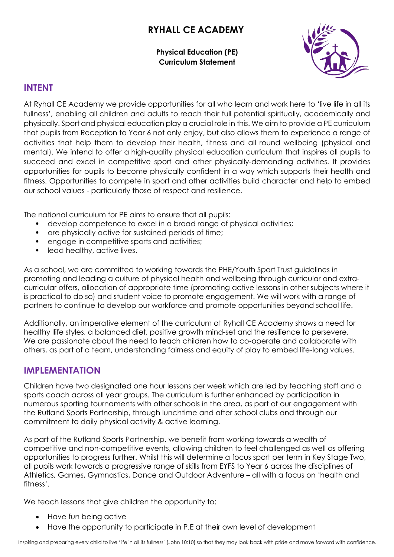# **RYHALL CE ACADEMY**

**Physical Education (PE) Curriculum Statement**



## **INTENT**

At Ryhall CE Academy we provide opportunities for all who learn and work here to 'live life in all its fullness', enabling all children and adults to reach their full potential spiritually, academically and physically. Sport and physical education play a crucial role in this. We aim to provide a PE curriculum that pupils from Reception to Year 6 not only enjoy, but also allows them to experience a range of activities that help them to develop their health, fitness and all round wellbeing (physical and mental). We intend to offer a high-quality physical education curriculum that inspires all pupils to succeed and excel in competitive sport and other physically-demanding activities. It provides opportunities for pupils to become physically confident in a way which supports their health and fitness. Opportunities to compete in sport and other activities build character and help to embed our school values - particularly those of respect and resilience.

The national curriculum for PE aims to ensure that all pupils:

- develop competence to excel in a broad range of physical activities;
- are physically active for sustained periods of time;
- engage in competitive sports and activities;
- lead healthy, active lives.

As a school, we are committed to working towards the PHE/Youth Sport Trust guidelines in promoting and leading a culture of physical health and wellbeing through curricular and extracurricular offers, allocation of appropriate time (promoting active lessons in other subjects where it is practical to do so) and student voice to promote engagement. We will work with a range of partners to continue to develop our workforce and promote opportunities beyond school life.

Additionally, an imperative element of the curriculum at Ryhall CE Academy shows a need for healthy llife styles, a balanced diet, positive growth mind-set and the resilience to persevere. We are passionate about the need to teach children how to co-operate and collaborate with others, as part of a team, understanding fairness and equity of play to embed life-long values.

## **IMPLEMENTATION**

Children have two designated one hour lessons per week which are led by teaching staff and a sports coach across all year groups. The curriculum is further enhanced by participation in numerous sporting tournaments with other schools in the area, as part of our engagement with the Rutland Sports Partnership, through lunchtime and after school clubs and through our commitment to daily physical activity & active learning.

As part of the Rutland Sports Partnership, we benefit from working towards a wealth of competitive and non-competitive events, allowing children to feel challenged as well as offering opportunities to progress further. Whilst this will determine a focus sport per term in Key Stage Two, all pupils work towards a progressive range of skills from EYFS to Year 6 across the disciplines of Athletics, Games, Gymnastics, Dance and Outdoor Adventure – all with a focus on 'health and fitness'.

We teach lessons that give children the opportunity to:

- Have fun being active
- Have the opportunity to participate in P.E at their own level of development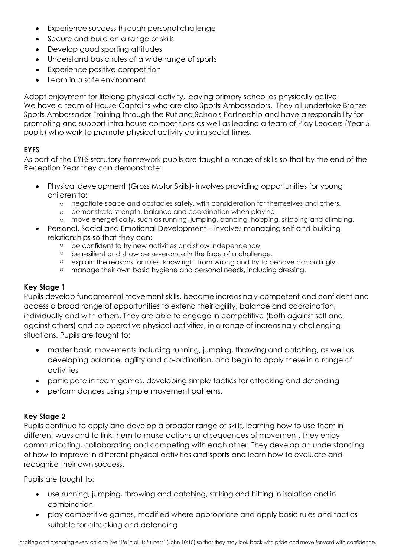- Experience success through personal challenge
- Secure and build on a range of skills
- Develop good sporting attitudes
- Understand basic rules of a wide range of sports
- Experience positive competition
- Learn in a safe environment

Adopt enjoyment for lifelong physical activity, leaving primary school as physically active We have a team of House Captains who are also Sports Ambassadors. They all undertake Bronze Sports Ambassador Training through the Rutland Schools Partnership and have a responsibility for promoting and support intra-house competitions as well as leading a team of Play Leaders (Year 5 pupils) who work to promote physical activity during social times.

### **EYFS**

As part of the EYFS statutory framework pupils are taught a range of skills so that by the end of the Reception Year they can demonstrate:

- Physical development (Gross Motor Skills)- involves providing opportunities for young children to:
	- o negotiate space and obstacles safely, with consideration for themselves and others.
	- o demonstrate strength, balance and coordination when playing.
	- o move energetically, such as running, jumping, dancing, hopping, skipping and climbing.
- Personal, Social and Emotional Development involves managing self and building relationships so that they can:
	- o be confident to try new activities and show independence,
	- o be resilient and show perseverance in the face of a challenge.
	- o explain the reasons for rules, know right from wrong and try to behave accordingly.
	- o manage their own basic hygiene and personal needs, including dressing.

#### **Key Stage 1**

Pupils develop fundamental movement skills, become increasingly competent and confident and access a broad range of opportunities to extend their agility, balance and coordination, individually and with others. They are able to engage in competitive (both against self and against others) and co-operative physical activities, in a range of increasingly challenging situations. Pupils are taught to:

- master basic movements including running, jumping, throwing and catching, as well as developing balance, agility and co-ordination, and begin to apply these in a range of activities
- participate in team games, developing simple tactics for attacking and defending
- perform dances using simple movement patterns.

#### **Key Stage 2**

Pupils continue to apply and develop a broader range of skills, learning how to use them in different ways and to link them to make actions and sequences of movement. They enjoy communicating, collaborating and competing with each other. They develop an understanding of how to improve in different physical activities and sports and learn how to evaluate and recognise their own success.

Pupils are taught to:

- use running, jumping, throwing and catching, striking and hitting in isolation and in combination
- play competitive games, modified where appropriate and apply basic rules and tactics suitable for attacking and defending